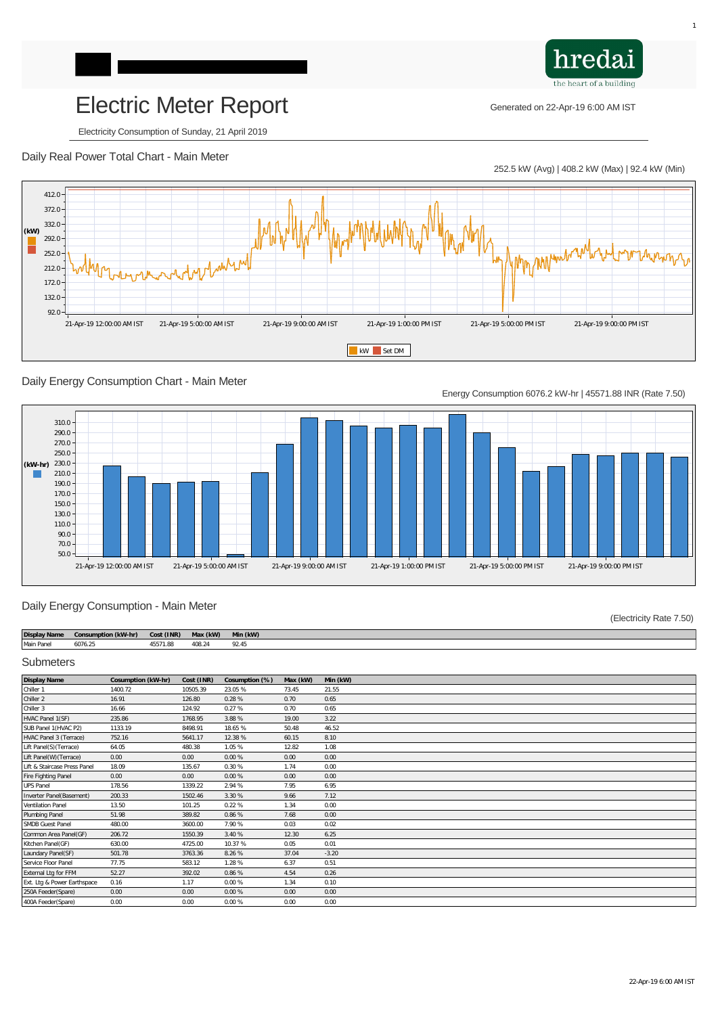# Electric Meter Report Generated on 22-Apr-19 6:00 AM IST

Electricity Consumption of Sunday, 21 April 2019

### Daily Real Power Total Chart - Main Meter

252.5 kW (Avg) | 408.2 kW (Max) | 92.4 kW (Min)

hredai

the heart of a building



## Daily Energy Consumption Chart - Main Meter

Energy Consumption 6076.2 kW-hr | 45571.88 INR (Rate 7.50)



#### Daily Energy Consumption - Main Meter

(Electricity Rate 7.50)

| <b>Display Name</b> | <b>Consumption (kW-hr)</b> | Cost (INR) | Max (kW) | Min (kW) |
|---------------------|----------------------------|------------|----------|----------|
| <b>Main Panel</b>   | 6076.25                    | 45571.88   | 408.24   | 92.45    |

#### **Submeters**

| <b>Display Name</b>             | Cosumption (kW-hr) | Cost (INR) | Cosumption (%) | Max (kW) | Min (kW) |
|---------------------------------|--------------------|------------|----------------|----------|----------|
| Chiller 1                       | 1400.72            | 10505.39   | 23.05 %        | 73.45    | 21.55    |
| <b>Chiller 2</b>                | 16.91              | 126.80     | 0.28%          | 0.70     | 0.65     |
| Chiller 3                       | 16.66              | 124.92     | 0.27%          | 0.70     | 0.65     |
| <b>HVAC Panel 1(SF)</b>         | 235.86             | 1768.95    | 3.88 %         | 19.00    | 3.22     |
| SUB Panel 1(HVAC P2)            | 1133.19            | 8498.91    | 18.65 %        | 50.48    | 46.52    |
| <b>HVAC Panel 3 (Terrace)</b>   | 752.16             | 5641.17    | 12.38 %        | 60.15    | 8.10     |
| Lift Panel(S) (Terrace)         | 64.05              | 480.38     | 1.05 %         | 12.82    | 1.08     |
| Lift Panel(W) (Terrace)         | 0.00               | 0.00       | 0.00%          | 0.00     | 0.00     |
| Lift & Staircase Press Panel    | 18.09              | 135.67     | 0.30%          | 1.74     | 0.00     |
| <b>Fire Fighting Panel</b>      | 0.00               | 0.00       | 0.00%          | 0.00     | 0.00     |
| <b>UPS Panel</b>                | 178.56             | 1339.22    | 2.94 %         | 7.95     | 6.95     |
| <b>Inverter Panel(Basement)</b> | 200.33             | 1502.46    | 3.30 %         | 9.66     | 7.12     |
| <b>Ventilation Panel</b>        | 13.50              | 101.25     | 0.22%          | 1.34     | 0.00     |
| <b>Plumbing Panel</b>           | 51.98              | 389.82     | 0.86 %         | 7.68     | 0.00     |
| <b>SMDB Guest Panel</b>         | 480.00             | 3600.00    | 7.90 %         | 0.03     | 0.02     |
| <b>Common Area Panel(GF)</b>    | 206.72             | 1550.39    | 3.40 %         | 12.30    | 6.25     |
| Kitchen Panel(GF)               | 630.00             | 4725.00    | 10.37 %        | 0.05     | 0.01     |
| <b>Laundary Panel(SF)</b>       | 501.78             | 3763.36    | 8.26 %         | 37.04    | $-3.20$  |
| <b>Service Floor Panel</b>      | 77.75              | 583.12     | 1.28 %         | 6.37     | 0.51     |
| <b>External Ltg for FFM</b>     | 52.27              | 392.02     | 0.86 %         | 4.54     | 0.26     |
| Ext. Ltg & Power Earthspace     | 0.16               | 1.17       | 0.00%          | 1.34     | 0.10     |
| 250A Feeder(Spare)              | 0.00               | 0.00       | 0.00%          | 0.00     | 0.00     |
| 400A Feeder(Spare)              | 0.00               | 0.00       | 0.00%          | 0.00     | 0.00     |